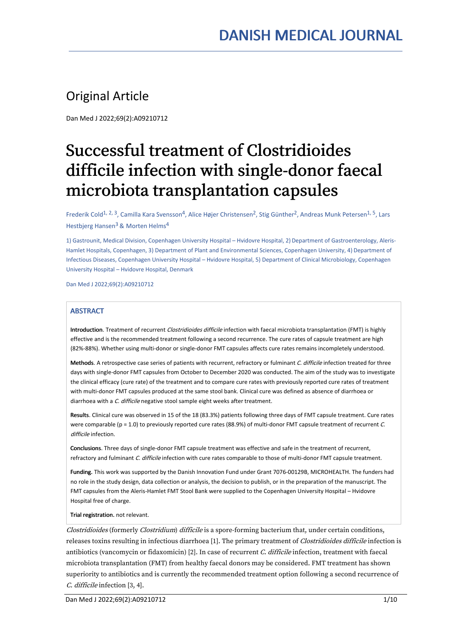# Original Article

Dan Med J 2022;69(2):A09210712

# Successful treatment of Clostridioides difficile infection with single-donor faecal microbiota transplantation capsules

Frederik Cold<sup>1, 2, 3</sup>, Camilla Kara Svensson<sup>4</sup>, Alice Højer Christensen<sup>2</sup>, Stig Günther<sup>2</sup>, Andreas Munk Petersen<sup>1, 5</sup>, Lars Hestbjerg Hansen<sup>3</sup> & Morten Helms<sup>4</sup>

1) Gastrounit, Medical Division, Copenhagen University Hospital – Hvidovre Hospital, 2) Department of Gastroenterology, Aleris- Hamlet Hospitals, Copenhagen, 3) Department of Plant and Environmental Sciences, Copenhagen University, 4) Department of Infectious Diseases, Copenhagen University Hospital – Hvidovre Hospital, 5) Department of Clinical Microbiology, Copenhagen University Hospital – Hvidovre Hospital, Denmark

Dan Med J 2022;69(2):A09210712

### **ABSTRACT**

Introduction. Treatment of recurrent *Clostridioides difficile* infection with faecal microbiota transplantation (FMT) is highly effective and is the recommended treatment following a second recurrence. The cure rates of capsule treatment are high (82%-88%). Whether using multi-donor or single-donor FMT capsules affects cure rates remains incompletely understood.

Methods. A retrospective case series of patients with recurrent, refractory or fulminant C. difficile infection treated for three days with single-donor FMT capsules from October to December 2020 was conducted. The aim of the study was to investigate the clinical efficacy (cure rate) of the treatment and to compare cure rates with previously reported cure rates of treatment with multi-donor FMT capsules produced at the same stool bank. Clinical cure was defined as absence of diarrhoea or diarrhoea with a C. difficile negative stool sample eight weeks after treatment.

Results. Clinical cure was observed in 15 of the 18 (83.3%) patients following three days of FMT capsule treatment. Cure rates were comparable (p = 1.0) to previously reported cure rates (88.9%) of multi-donor FMT capsule treatment of recurrent  $C$ . difficile infection.

Conclusions. Three days of single-donor FMT capsule treatment was effective and safe in the treatment of recurrent, refractory and fulminant C. difficile infection with cure rates comparable to those of multi-donor FMT capsule treatment.

Funding. This work was supported by the Danish Innovation Fund under Grant 7076-00129B, MICROHEALTH. The funders had no role in the study design, data collection or analysis, the decision to publish, or in the preparation of the manuscript. The FMT capsules from the Aleris-Hamlet FMT Stool Bank were supplied to the Copenhagen University Hospital – Hvidovre Hospital free of charge.

Trial registration. not relevant.

Clostridioides (formerly Clostridium) difficile is a spore-forming bacterium that, under certain conditions, releases toxins resulting in infectious diarrhoea [1]. The primary treatment of Clostridioides difficile infection is antibiotics (vancomycin or fidaxomicin) [2]. In case of recurrent C. difficile infection, treatment with faecal microbiota transplantation (FMT) from healthy faecal donors may be considered. FMT treatment has shown superiority to antibiotics and is currently the recommended treatment option following a second recurrence of C. difficile infection [3, 4].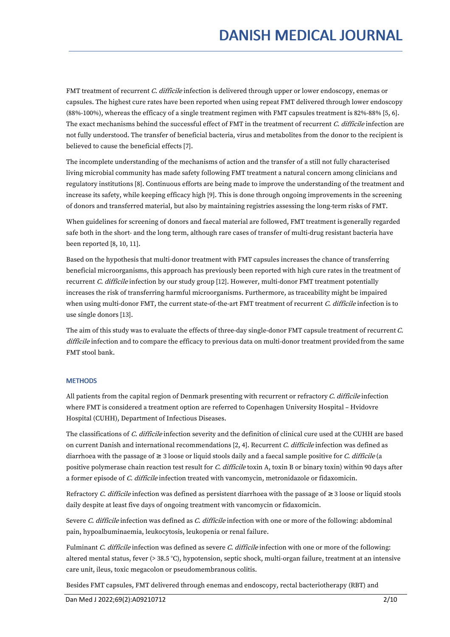FMT treatment of recurrent C. difficile infection is delivered through upper or lower endoscopy, enemas or capsules. The highest cure rates have been reported when using repeat FMT delivered through lower endoscopy (88%-100%), whereas the efficacy of a single treatment regimen with FMT capsules treatment is 82%-88% [5, 6]. The exact mechanisms behind the successful effect of FMT in the treatment of recurrent C. difficile infection are not fully understood. The transfer of beneficial bacteria, virus and metabolites from the donor to the recipient is believed to cause the beneficial effects [7].

The incomplete understanding of the mechanisms of action and the transfer of a still not fully characterised living microbial community has made safety following FMT treatment a natural concern among clinicians and regulatory institutions [8]. Continuous efforts are being made to improve the understanding of the treatment and increase its safety, while keeping efficacy high [9]. This is done through ongoing improvements in the screening of donors and transferred material, but also by maintaining registries assessing the long-term risks of FMT.

When guidelines for screening of donors and faecal material are followed, FMT treatment is generally regarded safe both in the short- and the long term, although rare cases of transfer of multi-drug resistant bacteria have been reported [8, 10, 11].

Based on the hypothesis that multi-donor treatment with FMT capsules increases the chance of transferring beneficial microorganisms, this approach has previously been reported with high cure rates in the treatment of recurrent C. difficile infection by our study group [12]. However, multi-donor FMT treatment potentially increases the risk of transferring harmful microorganisms. Furthermore, as traceability might be impaired when using multi-donor FMT, the current state-of-the-art FMT treatment of recurrent C. difficile infection is to use single donors [13].

The aim of this study was to evaluate the effects of three-day single-donor FMT capsule treatment of recurrent C. difficile infection and to compare the efficacy to previous data on multi-donor treatment provided from the same FMT stool bank.

### **METHODS**

All patients from the capital region of Denmark presenting with recurrent or refractory  $C$ . difficile infection where FMT is considered a treatment option are referred to Copenhagen University Hospital – Hvidovre Hospital (CUHH), Department of Infectious Diseases.

The classifications of C. difficile infection severity and the definition of clinical cure used at the CUHH are based on current Danish and international recommendations [2, 4]. Recurrent C. difficile infection was defined as diarrhoea with the passage of  $\geq 3$  loose or liquid stools daily and a faecal sample positive for *C. difficile* (a positive polymerase chain reaction test result for C. difficile toxin A, toxin B or binary toxin) within 90 days after a former episode of C. difficile infection treated with vancomycin, metronidazole or fidaxomicin.

Refractory C. difficile infection was defined as persistent diarrhoea with the passage of  $\geq 3$  loose or liquid stools daily despite at least five days of ongoing treatment with vancomycin or fidaxomicin.

Severe C. difficile infection was defined as C. difficile infection with one or more of the following: abdominal pain, hypoalbuminaemia, leukocytosis, leukopenia or renal failure.

Fulminant C. difficile infection was defined as severe C. difficile infection with one or more of the following: altered mental status, fever (> 38.5 °C), hypotension, septic shock, multi-organ failure, treatment at an intensive care unit, ileus, toxic megacolon or pseudomembranous colitis.

Besides FMT capsules, FMT delivered through enemas and endoscopy, rectal bacteriotherapy (RBT) and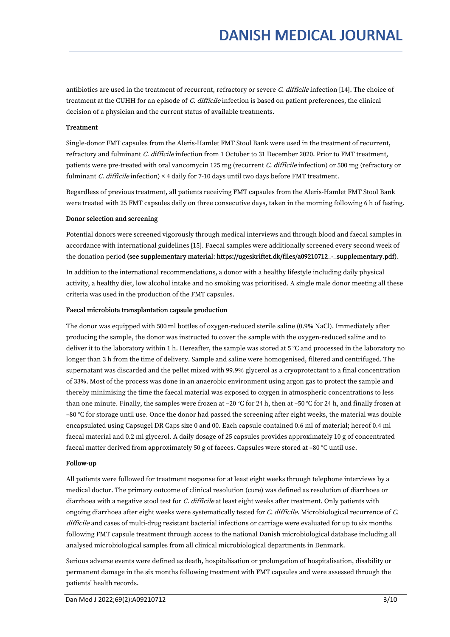antibiotics are used in the treatment of recurrent, refractory or severe C. difficile infection [14]. The choice of treatment at the CUHH for an episode of C. difficile infection is based on patient preferences, the clinical decision of a physician and the current status of available treatments.

# Treatment

Single-donor FMT capsules from the Aleris-Hamlet FMT Stool Bank were used in the treatment of recurrent, refractory and fulminant C. difficile infection from 1 October to 31 December 2020. Prior to FMT treatment, patients were pre-treated with oral vancomycin 125 mg (recurrent C. difficile infection) or 500 mg (refractory or fulminant *C. difficile* infection)  $\times$  4 daily for 7-10 days until two days before FMT treatment.

Regardless of previous treatment, all patients receiving FMT capsules from the Aleris-Hamlet FMT Stool Bank were treated with 25 FMT capsules daily on three consecutive days, taken in the morning following 6 h of fasting.

#### Donor selection and screening

Potential donors were screened vigorously through medical interviews and through blood and faecal samples in accordance with international guidelines [15]. Faecal samples were additionally screened every second week of the donation period (see supplementary material: https://ugeskriftet.dk/files/a09210712\_-\_supplementary.pdf).

In addition to the international recommendations, a donor with a healthy lifestyle including daily physical activity, a healthy diet, low alcohol intake and no smoking was prioritised. A single male donor meeting all these criteria was used in the production of the FMT capsules.

### Faecal microbiota transplantation capsule production

The donor was equipped with 500 ml bottles of oxygen-reduced sterile saline (0.9% NaCl). Immediately after producing the sample, the donor was instructed to cover the sample with the oxygen-reduced saline and to deliver it to the laboratory within 1 h. Hereafter, the sample was stored at 5 °C and processed in the laboratory no longer than 3 h from the time of delivery. Sample and saline were homogenised, filtered and centrifuged. The supernatant was discarded and the pellet mixed with 99.9% glycerol as a cryoprotectant to a final concentration of 33%. Most of the process was done in an anaerobic environment using argon gas to protect the sample and thereby minimising the time the faecal material was exposed to oxygen in atmospheric concentrations to less than one minute. Finally, the samples were frozen at –20 °C for 24 h, then at –50 °C for 24 h, and finally frozen at –80 °C for storage until use. Once the donor had passed the screening after eight weeks, the material was double encapsulated using Capsugel DR Caps size 0 and 00. Each capsule contained 0.6 ml of material; hereof 0.4 ml faecal material and 0.2 ml glycerol. A daily dosage of 25 capsules provides approximately 10 g of concentrated faecal matter derived from approximately 50 g of faeces. Capsules were stored at –80 °C until use.

#### Follow-up

All patients were followed for treatment response for at least eight weeks through telephone interviews by a medical doctor. The primary outcome of clinical resolution (cure) was defined as resolution of diarrhoea or diarrhoea with a negative stool test for C. difficile at least eight weeks after treatment. Only patients with ongoing diarrhoea after eight weeks were systematically tested for C. difficile. Microbiological recurrence of C. difficile and cases of multi-drug resistant bacterial infections or carriage were evaluated for up to six months following FMT capsule treatment through access to the national Danish microbiological database including all analysed microbiological samples from all clinical microbiological departments in Denmark.

Serious adverse events were defined as death, hospitalisation or prolongation of hospitalisation, disability or permanent damage in the six months following treatment with FMT capsules and were assessed through the patients' health records.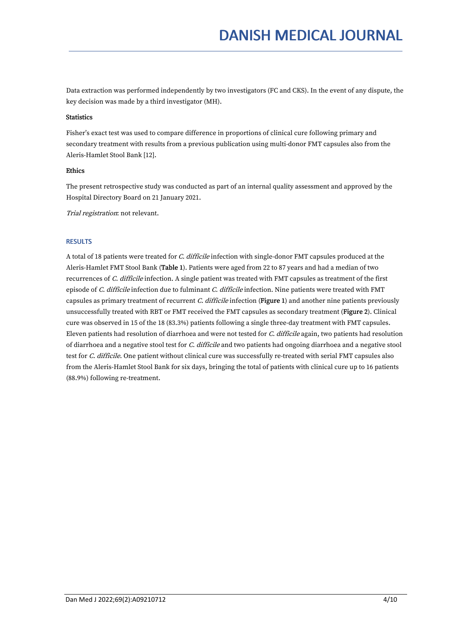Data extraction was performed independently by two investigators (FC and CKS). In the event of any dispute, the key decision was made by a third investigator (MH).

### **Statistics**

Fisher's exact test was used to compare difference in proportions of clinical cure following primary and secondary treatment with results from a previous publication using multi-donor FMT capsules also from the Aleris-Hamlet Stool Bank [12].

# Ethics

The present retrospective study was conducted as part of an internal quality assessment and approved by the Hospital Directory Board on 21 January 2021.

Trial registration: not relevant.

# **RESULTS**

A total of 18 patients were treated for C. difficile infection with single-donor FMT capsules produced at the Aleris-Hamlet FMT Stool Bank (Table 1). Patients were aged from 22 to 87 years and had a median of two recurrences of C. difficile infection. A single patient was treated with FMT capsules as treatment of the first episode of C. difficile infection due to fulminant C. difficile infection. Nine patients were treated with FMT capsules as primary treatment of recurrent C. difficile infection (Figure 1) and another nine patients previously unsuccessfully treated with RBT or FMT received the FMT capsules as secondary treatment (Figure 2). Clinical cure was observed in 15 of the 18 (83.3%) patients following a single three-day treatment with FMT capsules. Eleven patients had resolution of diarrhoea and were not tested for C. difficile again, two patients had resolution of diarrhoea and a negative stool test for C. difficile and two patients had ongoing diarrhoea and a negative stool test for C. difficile. One patient without clinical cure was successfully re-treated with serial FMT capsules also from the Aleris-Hamlet Stool Bank for six days, bringing the total of patients with clinical cure up to 16 patients (88.9%) following re-treatment.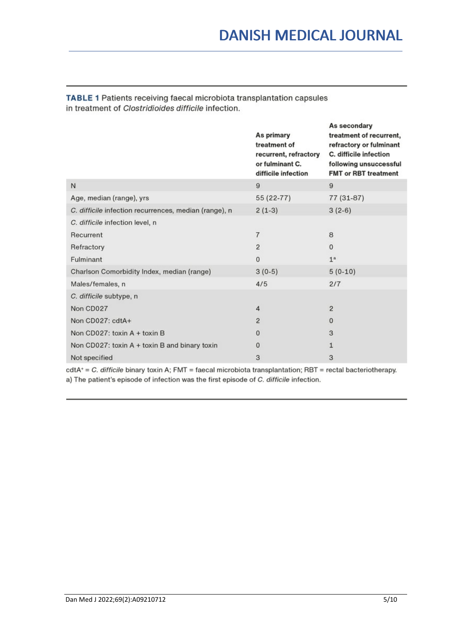|                                                       | As primary<br>treatment of<br>recurrent, refractory<br>or fulminant C.<br>difficile infection | As secondary<br>treatment of recurrent,<br>refractory or fulminant<br>C. difficile infection<br>following unsuccessful<br><b>FMT or RBT treatment</b> |
|-------------------------------------------------------|-----------------------------------------------------------------------------------------------|-------------------------------------------------------------------------------------------------------------------------------------------------------|
| N                                                     | 9                                                                                             | 9                                                                                                                                                     |
| Age, median (range), yrs                              | 55 (22-77)                                                                                    | 77 (31-87)                                                                                                                                            |
| C. difficile infection recurrences, median (range), n | $2(1-3)$                                                                                      | $3(2-6)$                                                                                                                                              |
| C. difficile infection level, n                       |                                                                                               |                                                                                                                                                       |
| Recurrent                                             | 7                                                                                             | 8                                                                                                                                                     |
| Refractory                                            | $\overline{c}$                                                                                | $\mathbf{0}$                                                                                                                                          |
| Fulminant                                             | $\mathbf{0}$                                                                                  | 1 <sup>a</sup>                                                                                                                                        |
| Charlson Comorbidity Index, median (range)            | $3(0-5)$                                                                                      | $5(0-10)$                                                                                                                                             |
| Males/females, n                                      | 4/5                                                                                           | 2/7                                                                                                                                                   |
| C. difficile subtype, n                               |                                                                                               |                                                                                                                                                       |
| Non CD027                                             | 4                                                                                             | 2                                                                                                                                                     |
| Non CD027: cdtA+                                      | $\overline{2}$                                                                                | $\Omega$                                                                                                                                              |
| Non CD027: toxin A + toxin B                          | $\mathbf{0}$                                                                                  | 3                                                                                                                                                     |
| Non CD027: toxin A + toxin B and binary toxin         | $\mathbf 0$                                                                                   | 1                                                                                                                                                     |
| Not specified                                         | 3                                                                                             | 3                                                                                                                                                     |

TABLE 1 Patients receiving faecal microbiota transplantation capsules in treatment of Clostridioides difficile infection.

cdtA+ = C. difficile binary toxin A; FMT = faecal microbiota transplantation; RBT = rectal bacteriotherapy. a) The patient's episode of infection was the first episode of C. difficile infection.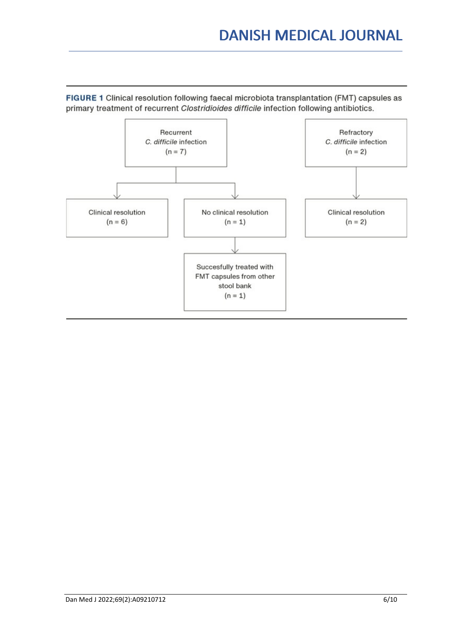# **DANISH MEDICAL JOURNAL**



FIGURE 1 Clinical resolution following faecal microbiota transplantation (FMT) capsules as primary treatment of recurrent Clostridioides difficile infection following antibiotics.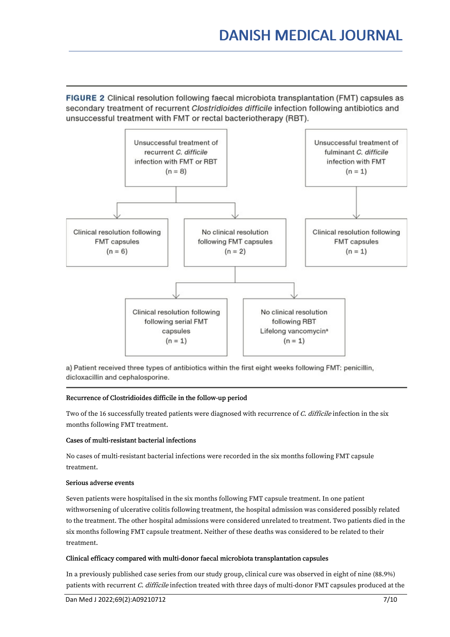FIGURE 2 Clinical resolution following faecal microbiota transplantation (FMT) capsules as secondary treatment of recurrent Clostridioides difficile infection following antibiotics and unsuccessful treatment with FMT or rectal bacteriotherapy (RBT).



a) Patient received three types of antibiotics within the first eight weeks following FMT: penicillin, dicloxacillin and cephalosporine.

# Recurrence of Clostridioides difficile in the follow-up period

Two of the 16 successfully treated patients were diagnosed with recurrence of C. difficile infection in the six months following FMT treatment.

### Cases of multi-resistant bacterial infections

No cases of multi-resistant bacterial infections were recorded in the six months following FMT capsule treatment.

#### Serious adverse events

Seven patients were hospitalised in the six months following FMT capsule treatment. In one patient withworsening of ulcerative colitis following treatment, the hospital admission was considered possibly related to the treatment. The other hospital admissions were considered unrelated to treatment. Two patients died in the six months following FMT capsule treatment. Neither of these deaths was considered to be related to their treatment.

### Clinical efficacy compared with multi-donor faecal microbiota transplantation capsules

In a previously published case series from our study group, clinical cure was observed in eight of nine (88.9%) patients with recurrent C. difficile infection treated with three days of multi-donor FMT capsules produced at the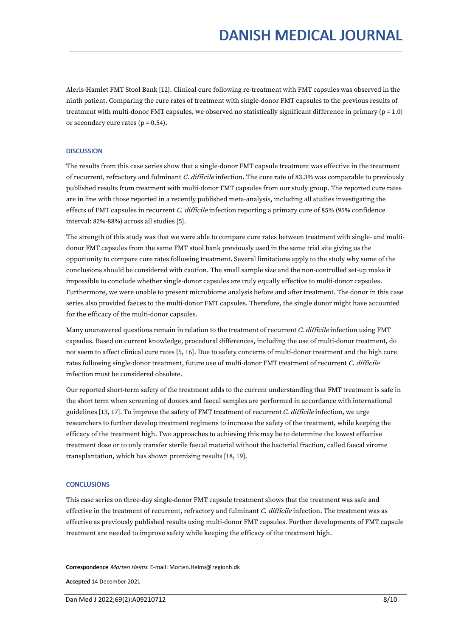Aleris-Hamlet FMT Stool Bank [12]. Clinical cure following re-treatment with FMT capsules was observed in the ninth patient. Comparing the cure rates of treatment with single-donor FMT capsules to the previous results of treatment with multi-donor FMT capsules, we observed no statistically significant difference in primary ( $p = 1.0$ ) or secondary cure rates  $(p = 0.54)$ .

#### **DISCUSSION**

The results from this case series show that a single-donor FMT capsule treatment was effective in the treatment of recurrent, refractory and fulminant C. difficile infection. The cure rate of 83.3% was comparable to previously published results from treatment with multi-donor FMT capsules from our study group. The reported cure rates are in line with those reported in a recently published meta-analysis, including all studies investigating the effects of FMT capsules in recurrent *C. difficile* infection reporting a primary cure of 85% (95% confidence interval: 82%-88%) across all studies [5].

The strength of this study was that we were able to compare cure rates between treatment with single- and multidonor FMT capsules from the same FMT stool bank previously used in the same trial site giving us the opportunity to compare cure rates following treatment. Several limitations apply to the study why some of the conclusions should be considered with caution. The small sample size and the non-controlled set-up make it impossible to conclude whether single-donor capsules are truly equally effective to multi-donor capsules. Furthermore, we were unable to present microbiome analysis before and after treatment. The donor in this case series also provided faeces to the multi-donor FMT capsules. Therefore, the single donor might have accounted for the efficacy of the multi-donor capsules.

Many unanswered questions remain in relation to the treatment of recurrent C. difficile infection using FMT capsules. Based on current knowledge, procedural differences, including the use of multi-donor treatment, do not seem to affect clinical cure rates [5, 16]. Due to safety concerns of multi-donor treatment and the high cure rates following single-donor treatment, future use of multi-donor FMT treatment of recurrent C. difficile infection must be considered obsolete.

Our reported short-term safety of the treatment adds to the current understanding that FMT treatment is safe in the short term when screening of donors and faecal samples are performed in accordance with international guidelines [13, 17]. To improve the safety of FMT treatment of recurrent  $C$ . difficile infection, we urge researchers to further develop treatment regimens to increase the safety of the treatment, while keeping the efficacy of the treatment high. Two approaches to achieving this may be to determine the lowest effective treatment dose or to only transfer sterile faecal material without the bacterial fraction, called faecal virome transplantation, which has shown promising results [18, 19].

#### **CONCLUSIONS**

This case series on three-day single-donor FMT capsule treatment shows that the treatment was safe and effective in the treatment of recurrent, refractory and fulminant C. difficile infection. The treatment was as effective as previously published results using multi-donor FMT capsules. Further developments of FMT capsule treatment are needed to improve safety while keeping the efficacy of the treatment high.

Correspondence Morten Helms. E-mail: Morten.Helms@regionh.dk

Accepted 14 December 2021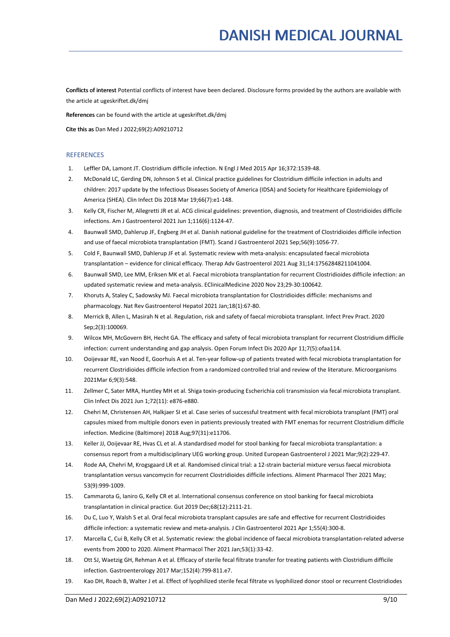Conflicts of interest Potential conflicts of interest have been declared. Disclosure forms provided by the authors are available with the article at ugeskriftet.dk/dmj

References can be found with the article at ugeskriftet.dk/dmj

Cite this as Dan Med J 2022;69(2):A09210712

#### **REFERENCES**

- 1. Leffler DA, Lamont JT. Clostridium difficile infection. N EnglJ Med 2015 Apr 16;372:1539-48.
- 2. McDonald LC, Gerding DN, Johnson S et al. Clinical practice guidelines for Clostridium difficile infection in adults and children: 2017 update by the Infectious Diseases Society of America (IDSA) and Society for Healthcare Epidemiology of America (SHEA). Clin Infect Dis 2018 Mar 19;66(7):e1-148.
- 3. Kelly CR, Fischer M, Allegretti JR etal. ACG clinical guidelines: prevention, diagnosis, and treatment of Clostridioides difficile infections. Am J Gastroenterol 2021 Jun 1;116(6):1124-47.
- 4. Baunwall SMD, Dahlerup JF,Engberg JH et al. Danish national guideline for the treatment of Clostridioides difficile infection and use of faecal microbiota transplantation (FMT). Scand J Gastroenterol 2021 Sep;56(9):1056-77.
- 5. Cold F, Baunwall SMD, Dahlerup JF et al. Systematic review with meta-analysis: encapsulated faecal microbiota transplantation – evidence for clinical efficacy. Therap Adv Gastroenterol 2021 Aug 31;14:17562848211041004.
- 6. Baunwall SMD, Lee MM, Eriksen MK et al. Faecal microbiota transplantation for recurrent Clostridioides difficile infection: an updated systematic review and meta-analysis. EClinicalMedicine 2020 Nov 23;29-30:100642.
- 7. Khoruts A, Staley C,Sadowsky MJ. Faecal microbiota transplantation for Clostridioides difficile: mechanisms and pharmacology. Nat Rev Gastroenterol Hepatol 2021 Jan;18(1):67-80.
- 8. Merrick B,Allen L, Masirah N et al. Regulation, risk and safety of faecal microbiota transplant. Infect Prev Pract. 2020 Sep;2(3):100069.
- 9. Wilcox MH, McGovern BH, Hecht GA. The efficacy and safety of fecal microbiota transplant for recurrent Clostridium difficile infection: current understanding and gap analysis. Open Forum Infect Dis 2020 Apr 11;7(5):ofaa114.
- 10. Ooijevaar RE, van Nood E, Goorhuis A et al. Ten-year follow-up ofpatients treated with fecal microbiota transplantation for recurrent Clostridioides difficile infection from a randomized controlled trial and review of the literature. Microorganisms 2021Mar 6;9(3):548.
- 11. Zellmer C, Sater MRA, Huntley MH et al. Shiga toxin-producing Escherichia coli transmission via fecal microbiota transplant. Clin Infect Dis 2021 Jun 1;72(11): e876-e880.
- 12. Chehri M, Christensen AH, Halkjaer SI et al. Case series of successful treatment with fecal microbiota transplant (FMT) oral capsules mixed from multiple donors even in patients previously treated with FMT enemas for recurrent Clostridium difficile infection. Medicine (Baltimore) 2018 Aug;97(31):e11706.
- 13. Keller JJ, Ooijevaar RE, Hvas CL et al. A standardised model for stool banking for faecal microbiota transplantation: a consensus report from a multidisciplinary UEG working group. United European Gastroenterol J 2021 Mar;9(2):229-47.
- 14. Rode AA, Chehri M, Krogsgaard LR etal. Randomised clinical trial: a 12-strain bacterial mixture versus faecal microbiota transplantation versus vancomycin for recurrent Clostridioides difficile infections. Aliment Pharmacol Ther 2021 May; 53(9):999-1009.
- 15. Cammarota G,Ianiro G, Kelly CR etal. International consensus conference on stool banking for faecal microbiota transplantation in clinical practice. Gut 2019 Dec;68(12):2111-21.
- 16. Du C, Luo Y, Walsh S et al. Oral fecal microbiota transplant capsules are safe and effective for recurrent Clostridioides difficile infection: a systematic review and meta-analysis. J Clin Gastroenterol 2021 Apr 1;55(4):300-8.
- 17. Marcella C, Cui B, Kelly CR etal. Systematic review: the global incidence of faecal microbiota transplantation-related adverse events from 2000 to 2020. Aliment Pharmacol Ther 2021 Jan;53(1):33-42.
- 18. Ott SJ, Waetzig GH, Rehman A et al. Efficacy of sterile fecal filtrate transfer for treating patients with Clostridium difficile infection. Gastroenterology 2017 Mar;152(4):799-811.e7.
- 19. Kao DH, Roach B, Walter J et al. Effect of lyophilized sterile fecal filtrate vs lyophilized donor stool or recurrent Clostridiodes